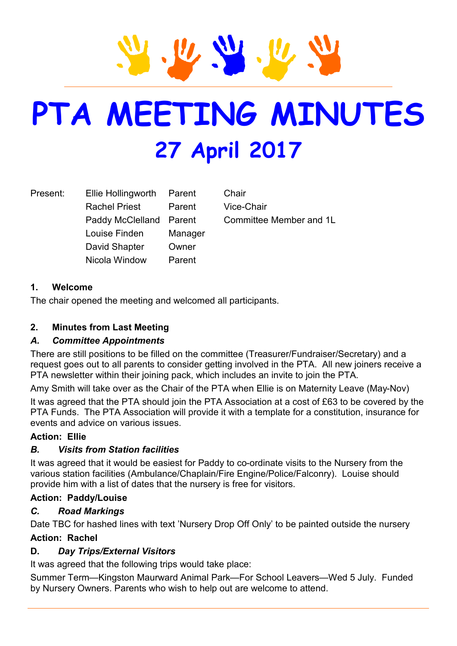# **PTA MEETING MINUTES 27 April 2017**

Present: Ellie Hollingworth Parent Chair Rachel Priest Parent Vice-Chair Paddy McClelland Parent Committee Member and 1L Louise Finden Manager David Shapter Owner Nicola Window Parent

# **1. Welcome**

The chair opened the meeting and welcomed all participants.

#### **2. Minutes from Last Meeting**

# *A. Committee Appointments*

There are still positions to be filled on the committee (Treasurer/Fundraiser/Secretary) and a request goes out to all parents to consider getting involved in the PTA. All new joiners receive a PTA newsletter within their joining pack, which includes an invite to join the PTA.

Amy Smith will take over as the Chair of the PTA when Ellie is on Maternity Leave (May-Nov) It was agreed that the PTA should join the PTA Association at a cost of £63 to be covered by the PTA Funds. The PTA Association will provide it with a template for a constitution, insurance for events and advice on various issues.

#### **Action: Ellie**

# *B. Visits from Station facilities*

It was agreed that it would be easiest for Paddy to co-ordinate visits to the Nursery from the various station facilities (Ambulance/Chaplain/Fire Engine/Police/Falconry). Louise should provide him with a list of dates that the nursery is free for visitors.

#### **Action: Paddy/Louise**

#### *C. Road Markings*

Date TBC for hashed lines with text 'Nursery Drop Off Only' to be painted outside the nursery

#### **Action: Rachel**

# **D.** *Day Trips/External Visitors*

It was agreed that the following trips would take place:

Summer Term—Kingston Maurward Animal Park—For School Leavers—Wed 5 July. Funded by Nursery Owners. Parents who wish to help out are welcome to attend.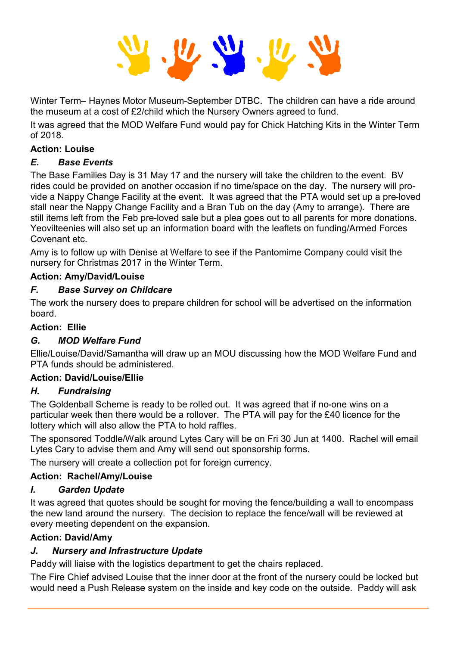Winter Term– Haynes Motor Museum-September DTBC. The children can have a ride around the museum at a cost of £2/child which the Nursery Owners agreed to fund.

It was agreed that the MOD Welfare Fund would pay for Chick Hatching Kits in the Winter Term of 2018.

#### **Action: Louise**

# *E. Base Events*

The Base Families Day is 31 May 17 and the nursery will take the children to the event. BV rides could be provided on another occasion if no time/space on the day. The nursery will provide a Nappy Change Facility at the event. It was agreed that the PTA would set up a pre-loved stall near the Nappy Change Facility and a Bran Tub on the day (Amy to arrange). There are still items left from the Feb pre-loved sale but a plea goes out to all parents for more donations. Yeovilteenies will also set up an information board with the leaflets on funding/Armed Forces Covenant etc.

Amy is to follow up with Denise at Welfare to see if the Pantomime Company could visit the nursery for Christmas 2017 in the Winter Term.

#### **Action: Amy/David/Louise**

#### *F. Base Survey on Childcare*

The work the nursery does to prepare children for school will be advertised on the information board.

#### **Action: Ellie**

# *G. MOD Welfare Fund*

Ellie/Louise/David/Samantha will draw up an MOU discussing how the MOD Welfare Fund and PTA funds should be administered.

#### **Action: David/Louise/Ellie**

# *H. Fundraising*

The Goldenball Scheme is ready to be rolled out. It was agreed that if no-one wins on a particular week then there would be a rollover. The PTA will pay for the £40 licence for the lottery which will also allow the PTA to hold raffles.

The sponsored Toddle/Walk around Lytes Cary will be on Fri 30 Jun at 1400. Rachel will email Lytes Cary to advise them and Amy will send out sponsorship forms.

The nursery will create a collection pot for foreign currency.

# **Action: Rachel/Amy/Louise**

# *I. Garden Update*

It was agreed that quotes should be sought for moving the fence/building a wall to encompass the new land around the nursery. The decision to replace the fence/wall will be reviewed at every meeting dependent on the expansion.

#### **Action: David/Amy**

# *J. Nursery and Infrastructure Update*

Paddy will liaise with the logistics department to get the chairs replaced.

The Fire Chief advised Louise that the inner door at the front of the nursery could be locked but would need a Push Release system on the inside and key code on the outside. Paddy will ask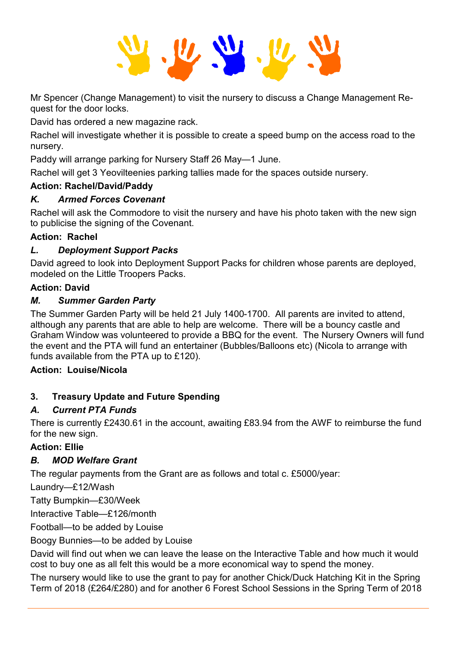Mr Spencer (Change Management) to visit the nursery to discuss a Change Management Request for the door locks.

David has ordered a new magazine rack.

Rachel will investigate whether it is possible to create a speed bump on the access road to the nursery.

Paddy will arrange parking for Nursery Staff 26 May—1 June.

Rachel will get 3 Yeovilteenies parking tallies made for the spaces outside nursery.

# **Action: Rachel/David/Paddy**

# *K. Armed Forces Covenant*

Rachel will ask the Commodore to visit the nursery and have his photo taken with the new sign to publicise the signing of the Covenant.

# **Action: Rachel**

# *L. Deployment Support Packs*

David agreed to look into Deployment Support Packs for children whose parents are deployed, modeled on the Little Troopers Packs.

# **Action: David**

# *M. Summer Garden Party*

The Summer Garden Party will be held 21 July 1400-1700. All parents are invited to attend, although any parents that are able to help are welcome. There will be a bouncy castle and Graham Window was volunteered to provide a BBQ for the event. The Nursery Owners will fund the event and the PTA will fund an entertainer (Bubbles/Balloons etc) (Nicola to arrange with funds available from the PTA up to £120).

# **Action: Louise/Nicola**

# **3. Treasury Update and Future Spending**

# *A. Current PTA Funds*

There is currently £2430.61 in the account, awaiting £83.94 from the AWF to reimburse the fund for the new sign.

# **Action: Ellie**

# *B. MOD Welfare Grant*

The regular payments from the Grant are as follows and total c. £5000/year:

Laundry—£12/Wash

Tatty Bumpkin—£30/Week

Interactive Table—£126/month

Football—to be added by Louise

Boogy Bunnies—to be added by Louise

David will find out when we can leave the lease on the Interactive Table and how much it would cost to buy one as all felt this would be a more economical way to spend the money.

The nursery would like to use the grant to pay for another Chick/Duck Hatching Kit in the Spring Term of 2018 (£264/£280) and for another 6 Forest School Sessions in the Spring Term of 2018